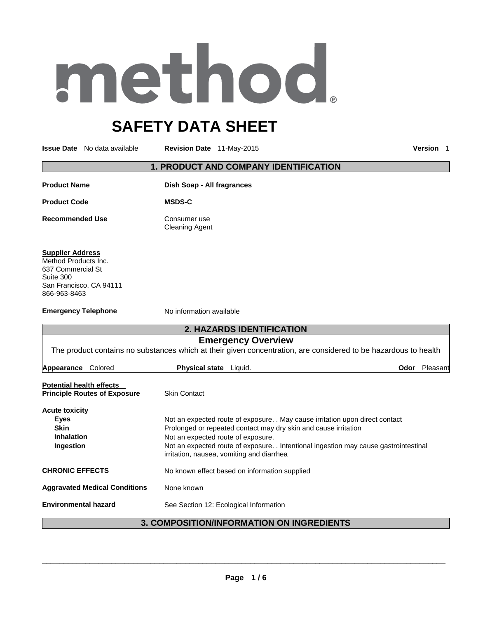# method

# **SAFETY DATA SHEET**

**Issue Date** No data available **Revision Date** 11-May-2015 **Version** 1

# **1. PRODUCT AND COMPANY IDENTIFICATION**

| <b>Product Name</b>                                                                                                                                                                                           | Dish Soap - All fragrances                                                                                                                                                                                                                                                                                                   |  |  |  |
|---------------------------------------------------------------------------------------------------------------------------------------------------------------------------------------------------------------|------------------------------------------------------------------------------------------------------------------------------------------------------------------------------------------------------------------------------------------------------------------------------------------------------------------------------|--|--|--|
| <b>Product Code</b>                                                                                                                                                                                           | <b>MSDS-C</b>                                                                                                                                                                                                                                                                                                                |  |  |  |
| <b>Recommended Use</b>                                                                                                                                                                                        | Consumer use<br><b>Cleaning Agent</b>                                                                                                                                                                                                                                                                                        |  |  |  |
| <b>Supplier Address</b><br>Method Products Inc.<br>637 Commercial St<br>Suite 300<br>San Francisco, CA 94111<br>866-963-8463                                                                                  |                                                                                                                                                                                                                                                                                                                              |  |  |  |
| <b>Emergency Telephone</b>                                                                                                                                                                                    | No information available                                                                                                                                                                                                                                                                                                     |  |  |  |
|                                                                                                                                                                                                               | 2. HAZARDS IDENTIFICATION                                                                                                                                                                                                                                                                                                    |  |  |  |
| <b>Emergency Overview</b><br>The product contains no substances which at their given concentration, are considered to be hazardous to health<br>Odor Pleasant<br>Appearance Colored<br>Physical state Liquid. |                                                                                                                                                                                                                                                                                                                              |  |  |  |
| <b>Potential health effects</b><br><b>Principle Routes of Exposure</b>                                                                                                                                        | <b>Skin Contact</b>                                                                                                                                                                                                                                                                                                          |  |  |  |
| <b>Acute toxicity</b><br><b>Eyes</b><br><b>Skin</b><br><b>Inhalation</b><br>Ingestion                                                                                                                         | Not an expected route of exposure. . May cause irritation upon direct contact<br>Prolonged or repeated contact may dry skin and cause irritation<br>Not an expected route of exposure.<br>Not an expected route of exposure. . Intentional ingestion may cause gastrointestinal<br>irritation, nausea, vomiting and diarrhea |  |  |  |
| <b>CHRONIC EFFECTS</b>                                                                                                                                                                                        | No known effect based on information supplied                                                                                                                                                                                                                                                                                |  |  |  |
| <b>Aggravated Medical Conditions</b>                                                                                                                                                                          | None known                                                                                                                                                                                                                                                                                                                   |  |  |  |
| <b>Environmental hazard</b>                                                                                                                                                                                   | See Section 12: Ecological Information                                                                                                                                                                                                                                                                                       |  |  |  |
| <b>3. COMPOSITION/INFORMATION ON INGREDIENTS</b>                                                                                                                                                              |                                                                                                                                                                                                                                                                                                                              |  |  |  |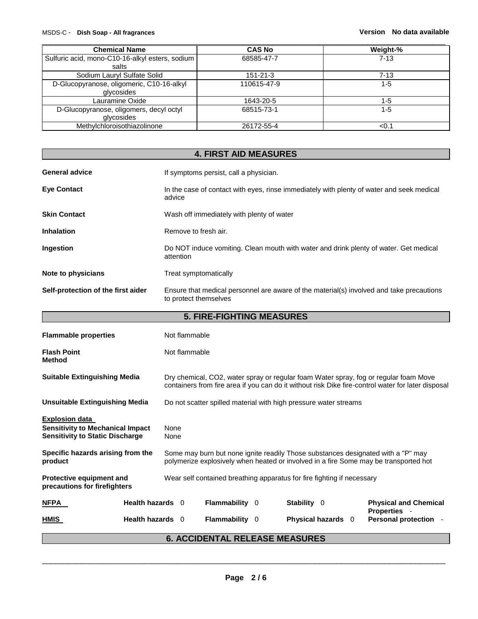# MSDS-C - **Dish Soap - All fragrances Version No data available**

Ē

| <b>Chemical Name</b>                                     | <b>CAS No</b> | Weight-% |
|----------------------------------------------------------|---------------|----------|
| Sulfuric acid, mono-C10-16-alkyl esters, sodium<br>salts | 68585-47-7    | $7 - 13$ |
| Sodium Lauryl Sulfate Solid                              | 151-21-3      | 7-13     |
| D-Glucopyranose, oligomeric, C10-16-alkyl<br>glycosides  | 110615-47-9   | 1-5      |
| Lauramine Oxide                                          | 1643-20-5     | 1-5      |
| D-Glucopyranose, oligomers, decyl octyl<br>glycosides    | 68515-73-1    | 1-5      |
| Methylchloroisothiazolinone                              | 26172-55-4    | < 0.1    |

# **4. FIRST AID MEASURES**

| <b>General advice</b>              | If symptoms persist, call a physician.                                                                            |
|------------------------------------|-------------------------------------------------------------------------------------------------------------------|
| <b>Eve Contact</b>                 | In the case of contact with eyes, rinse immediately with plenty of water and seek medical<br>advice               |
| <b>Skin Contact</b>                | Wash off immediately with plenty of water                                                                         |
| <b>Inhalation</b>                  | Remove to fresh air.                                                                                              |
| Ingestion                          | Do NOT induce vomiting. Clean mouth with water and drink plenty of water. Get medical<br>attention                |
| Note to physicians                 | Treat symptomatically                                                                                             |
| Self-protection of the first aider | Ensure that medical personnel are aware of the material(s) involved and take precautions<br>to protect themselves |

|                                                                                                            |                  |                                                                                                                                                                          | <b>5. FIRE-FIGHTING MEASURES</b> |                                                                        |  |                                                                                                                                                                                            |
|------------------------------------------------------------------------------------------------------------|------------------|--------------------------------------------------------------------------------------------------------------------------------------------------------------------------|----------------------------------|------------------------------------------------------------------------|--|--------------------------------------------------------------------------------------------------------------------------------------------------------------------------------------------|
| <b>Flammable properties</b>                                                                                |                  | Not flammable                                                                                                                                                            |                                  |                                                                        |  |                                                                                                                                                                                            |
| <b>Flash Point</b><br>Method                                                                               |                  | Not flammable                                                                                                                                                            |                                  |                                                                        |  |                                                                                                                                                                                            |
| <b>Suitable Extinguishing Media</b>                                                                        |                  |                                                                                                                                                                          |                                  |                                                                        |  | Dry chemical, CO2, water spray or regular foam Water spray, fog or regular foam Move<br>containers from fire area if you can do it without risk Dike fire-control water for later disposal |
| <b>Unsuitable Extinguishing Media</b>                                                                      |                  |                                                                                                                                                                          |                                  | Do not scatter spilled material with high pressure water streams       |  |                                                                                                                                                                                            |
| <b>Explosion data</b><br><b>Sensitivity to Mechanical Impact</b><br><b>Sensitivity to Static Discharge</b> |                  | None<br>None                                                                                                                                                             |                                  |                                                                        |  |                                                                                                                                                                                            |
| Specific hazards arising from the<br>product                                                               |                  | Some may burn but none ignite readily Those substances designated with a "P" may<br>polymerize explosively when heated or involved in a fire Some may be transported hot |                                  |                                                                        |  |                                                                                                                                                                                            |
| <b>Protective equipment and</b><br>precautions for firefighters                                            |                  |                                                                                                                                                                          |                                  | Wear self contained breathing apparatus for fire fighting if necessary |  |                                                                                                                                                                                            |
| <b>NFPA</b>                                                                                                | Health hazards 0 |                                                                                                                                                                          | <b>Flammability</b> 0            | Stability 0                                                            |  | <b>Physical and Chemical</b>                                                                                                                                                               |
| HMIS                                                                                                       | Health hazards 0 |                                                                                                                                                                          | <b>Flammability 0</b>            | Physical hazards 0                                                     |  | <b>Properties -</b><br>Personal protection -                                                                                                                                               |

# **6. ACCIDENTAL RELEASE MEASURES**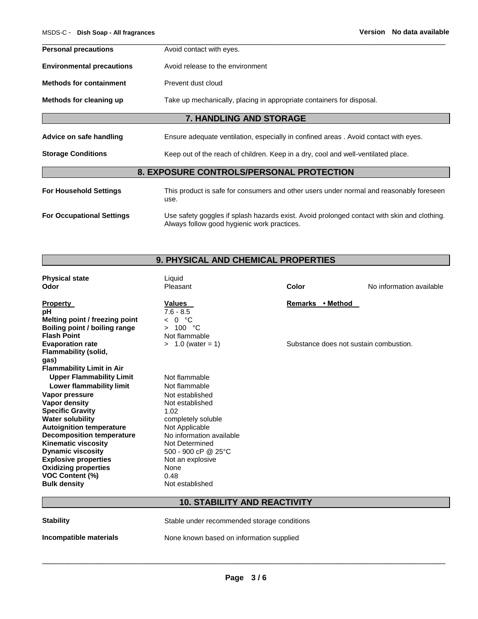**Color Please Color Please Algebra 2013** No information available

| <b>Personal precautions</b>              | Avoid contact with eyes.                                                                        |  |  |
|------------------------------------------|-------------------------------------------------------------------------------------------------|--|--|
| <b>Environmental precautions</b>         | Avoid release to the environment                                                                |  |  |
| <b>Methods for containment</b>           | Prevent dust cloud                                                                              |  |  |
| Methods for cleaning up                  | Take up mechanically, placing in appropriate containers for disposal.                           |  |  |
|                                          | 7. HANDLING AND STORAGE                                                                         |  |  |
| Advice on safe handling                  | Ensure adequate ventilation, especially in confined areas . Avoid contact with eyes.            |  |  |
| <b>Storage Conditions</b>                | Keep out of the reach of children. Keep in a dry, cool and well-ventilated place.               |  |  |
| 8. EXPOSURE CONTROLS/PERSONAL PROTECTION |                                                                                                 |  |  |
| <b>For Household Settings</b>            | This product is safe for consumers and other users under normal and reasonably foreseen<br>use. |  |  |
| <b>For Occupational Settings</b>         | Use safety goggles if splash hazards exist. Avoid prolonged contact with skin and clothing.     |  |  |

\_\_\_\_\_\_\_\_\_\_\_\_\_\_\_\_\_\_\_\_\_\_\_\_\_\_\_\_\_\_\_\_\_\_\_\_\_\_\_\_\_\_\_\_\_\_\_\_\_\_\_\_\_\_\_\_\_\_\_\_\_\_\_\_\_\_\_\_\_\_\_\_\_\_\_\_\_\_\_\_\_\_\_\_\_\_\_\_\_\_\_\_\_

# **9. PHYSICAL AND CHEMICAL PROPERTIES**

Always follow good hygienic work practices.

**Physical state Liquid Continuity** Controller Liquid Pleasant

| <b>Property</b><br>pН<br>Melting point / freezing point<br>Boiling point / boiling range<br><b>Flash Point</b>                   | <b>Values</b><br>$7.6 - 8.5$<br>°°C<br>$\Omega$<br>100 $°C$                        | Remarks • Method                       |
|----------------------------------------------------------------------------------------------------------------------------------|------------------------------------------------------------------------------------|----------------------------------------|
| <b>Evaporation rate</b><br>Flammability (solid,<br>gas)                                                                          | Not flammable<br>$> 1.0$ (water = 1)                                               | Substance does not sustain combustion. |
| <b>Flammability Limit in Air</b><br><b>Upper Flammability Limit</b><br>Lower flammability limit                                  | Not flammable<br>Not flammable                                                     |                                        |
| Vapor pressure<br>Vapor density<br><b>Specific Gravity</b>                                                                       | Not established<br>Not established<br>1.02                                         |                                        |
| Water solubility<br><b>Autoignition temperature</b><br><b>Decomposition temperature</b><br><b>Kinematic viscosity</b>            | completely soluble<br>Not Applicable<br>No information available<br>Not Determined |                                        |
| <b>Dynamic viscosity</b><br><b>Explosive properties</b><br><b>Oxidizing properties</b><br>VOC Content (%)<br><b>Bulk density</b> | 500 - 900 cP @ 25°C<br>Not an explosive<br>None<br>0.48<br>Not established         |                                        |
|                                                                                                                                  |                                                                                    |                                        |

# **10. STABILITY AND REACTIVITY**

| Stability              | Stable under recommended storage conditions |
|------------------------|---------------------------------------------|
| Incompatible materials | None known based on information supplied    |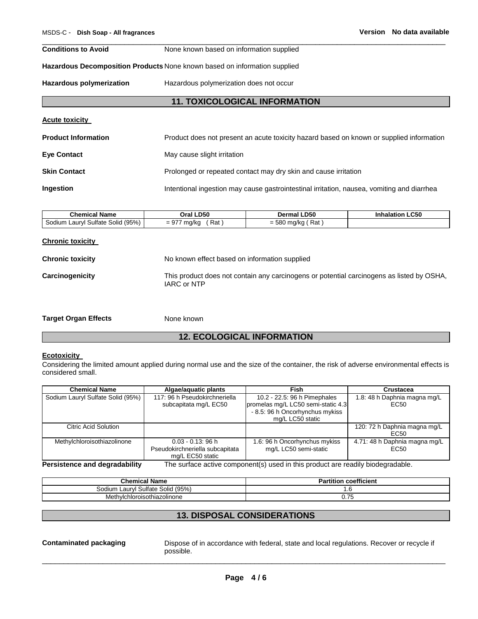**Conditions to Avoid None known based on information supplied** 

# **Hazardous Decomposition Products** None known based on information supplied

**Hazardous polymerization** Hazardous polymerization does not occur

# **11. TOXICOLOGICAL INFORMATION**

\_\_\_\_\_\_\_\_\_\_\_\_\_\_\_\_\_\_\_\_\_\_\_\_\_\_\_\_\_\_\_\_\_\_\_\_\_\_\_\_\_\_\_\_\_\_\_\_\_\_\_\_\_\_\_\_\_\_\_\_\_\_\_\_\_\_\_\_\_\_\_\_\_\_\_\_\_\_\_\_\_\_\_\_\_\_\_\_\_\_\_\_\_

| <b>Acute toxicity</b>      |                                                                                            |
|----------------------------|--------------------------------------------------------------------------------------------|
| <b>Product Information</b> | Product does not present an acute toxicity hazard based on known or supplied information   |
| <b>Eye Contact</b>         | May cause slight irritation                                                                |
| <b>Skin Contact</b>        | Prolonged or repeated contact may dry skin and cause irritation                            |
| Ingestion                  | Intentional ingestion may cause gastrointestinal irritation, nausea, vomiting and diarrhea |

| <b>Chemical Name</b>                         | -D50                               | <b>LD50</b>                          | <b>LC50</b> |
|----------------------------------------------|------------------------------------|--------------------------------------|-------------|
|                                              | Dral                               | Dermal                               | Inhalation  |
| Solid (95%)<br>Sulfate<br>∟aurvi '<br>odiumد | $-97^{-}$<br>์ Rat<br>ma/kc<br>___ | `Rat<br>$-58C$<br>√ mq/ka ′<br>— JUL |             |

# **Chronic toxicity**

| <b>Chronic toxicity</b> | No known effect based on information supplied                                                            |
|-------------------------|----------------------------------------------------------------------------------------------------------|
| Carcinogenicity         | This product does not contain any carcinogens or potential carcinogens as listed by OSHA,<br>IARC or NTP |

```
Target Organ Effects None known
```
# **12. ECOLOGICAL INFORMATION**

# **Ecotoxicity**

Considering the limited amount applied during normal use and the size of the container, the risk of adverse environmental effects is considered small.

| <b>Chemical Name</b>              | Algae/aguatic plants            | Fish                               | Crustacea                     |
|-----------------------------------|---------------------------------|------------------------------------|-------------------------------|
| Sodium Lauryl Sulfate Solid (95%) | 117: 96 h Pseudokirchneriella   | 10.2 - 22.5: 96 h Pimephales       | 1.8: 48 h Daphnia magna mg/L  |
|                                   | subcapitata mg/L EC50           | promelas mg/L LC50 semi-static 4.3 | EC <sub>50</sub>              |
|                                   |                                 | - 8.5: 96 h Oncorhynchus mykiss    |                               |
|                                   |                                 | mg/L LC50 static                   |                               |
| Citric Acid Solution              |                                 |                                    | 120: 72 h Daphnia magna mg/L  |
|                                   |                                 |                                    | EC50                          |
| Methylchloroisothiazolinone       | $0.03 - 0.13$ : 96 h            | 1.6: 96 h Oncorhynchus mykiss      | 4.71: 48 h Daphnia magna mg/L |
|                                   | Pseudokirchneriella subcapitata | mg/L LC50 semi-static              | EC <sub>50</sub>              |
|                                   | mg/L EC50 static                |                                    |                               |
| <br>.<br>.                        | $-1$ $-1$ $-1$                  | $\cdot$ $\cdot$ $\cdot$<br>.       | .<br>.                        |

**Persistence and degradability** The surface active component(s) used in this product are readily biodegradable.

| <b>Chemical Name</b>                           | coefficient<br>∍-<br>tion<br>. |
|------------------------------------------------|--------------------------------|
| Solid<br>(95%<br>Sulfate<br>sodium<br>∟aurvi ⊺ | . . U                          |
| Methylchloroisothiazolinone                    | $-$<br>v. 1 J                  |

# **13. DISPOSAL CONSIDERATIONS**

**Contaminated packaging** Dispose of in accordance with federal, state and local regulations. Recover or recycle if possible.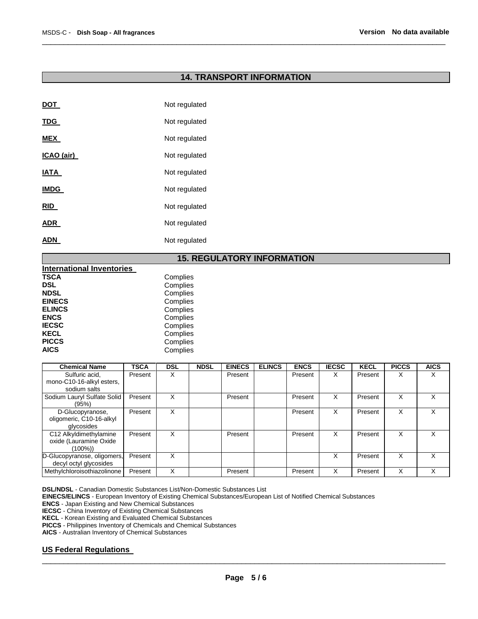# **14. TRANSPORT INFORMATION**

\_\_\_\_\_\_\_\_\_\_\_\_\_\_\_\_\_\_\_\_\_\_\_\_\_\_\_\_\_\_\_\_\_\_\_\_\_\_\_\_\_\_\_\_\_\_\_\_\_\_\_\_\_\_\_\_\_\_\_\_\_\_\_\_\_\_\_\_\_\_\_\_\_\_\_\_\_\_\_\_\_\_\_\_\_\_\_\_\_\_\_\_\_

| <b>DOT</b>  | Not regulated |
|-------------|---------------|
| <b>TDG</b>  | Not regulated |
| <b>MEX</b>  | Not regulated |
| ICAO (air)  | Not regulated |
| <b>IATA</b> | Not regulated |
| <b>IMDG</b> | Not regulated |
| RID         | Not regulated |
| <b>ADR</b>  | Not regulated |
| ADN         | Not regulated |

# **15. REGULATORY INFORMATION**

| <b>International Inventories</b> |          |
|----------------------------------|----------|
| TSCA                             | Complies |
| DSL                              | Complies |
| <b>NDSL</b>                      | Complies |
| <b>EINECS</b>                    | Complies |
| <b>ELINCS</b>                    | Complies |
| <b>ENCS</b>                      | Complies |
| <b>IECSC</b>                     | Complies |
| <b>KECL</b>                      | Complies |
| <b>PICCS</b>                     | Complies |
| <b>AICS</b>                      | Complies |

| <b>Chemical Name</b>                                        | <b>TSCA</b> | <b>DSL</b> | <b>NDSL</b> | <b>EINECS</b> | <b>ELINCS</b> | <b>ENCS</b> | <b>IECSC</b> | <b>KECL</b> | <b>PICCS</b> | <b>AICS</b> |
|-------------------------------------------------------------|-------------|------------|-------------|---------------|---------------|-------------|--------------|-------------|--------------|-------------|
| Sulfuric acid,                                              | Present     | х          |             | Present       |               | Present     | X            | Present     | х            | х           |
| mono-C10-16-alkyl esters,                                   |             |            |             |               |               |             |              |             |              |             |
| sodium salts                                                |             |            |             |               |               |             |              |             |              |             |
| Sodium Lauryl Sulfate Solid<br>(95%)                        | Present     | x          |             | Present       |               | Present     | X            | Present     | X            | X           |
| D-Glucopyranose,<br>oligomeric, C10-16-alkyl<br>glycosides  | Present     | X          |             |               |               | Present     | X            | Present     | X            | X           |
| C12 Alkyldimethylamine<br>oxide (Lauramine Oxide<br>(100%)) | Present     | x          |             | Present       |               | Present     | X            | Present     | x            |             |
| D-Glucopyranose, oligomers,<br>decyl octyl glycosides       | Present     | X          |             |               |               |             | X            | Present     | X            | x           |
| Methylchloroisothiazolinone                                 | Present     |            |             | Present       |               | Present     | X            | Present     | x            |             |

**DSL/NDSL** - Canadian Domestic Substances List/Non-Domestic Substances List

**EINECS/ELINCS** - European Inventory of Existing Chemical Substances/European List of Notified Chemical Substances

**ENCS** - Japan Existing and New Chemical Substances

**IECSC** - China Inventory of Existing Chemical Substances

**KECL** - Korean Existing and Evaluated Chemical Substances

**PICCS** - Philippines Inventory of Chemicals and Chemical Substances

**AICS** - Australian Inventory of Chemical Substances

# **US Federal Regulations**